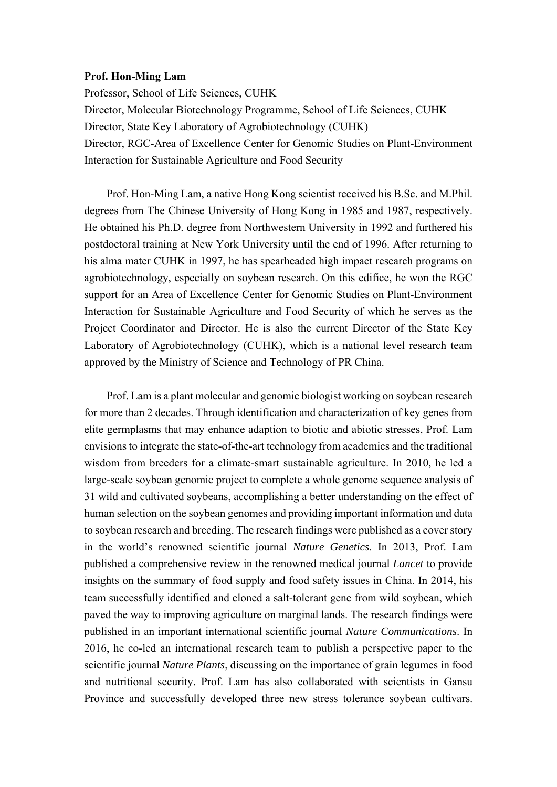## **Prof. Hon-Ming Lam**

Professor, School of Life Sciences, CUHK Director, Molecular Biotechnology Programme, School of Life Sciences, CUHK Director, State Key Laboratory of Agrobiotechnology (CUHK) Director, RGC-Area of Excellence Center for Genomic Studies on Plant-Environment Interaction for Sustainable Agriculture and Food Security

Prof. Hon-Ming Lam, a native Hong Kong scientist received his B.Sc. and M.Phil. degrees from The Chinese University of Hong Kong in 1985 and 1987, respectively. He obtained his Ph.D. degree from Northwestern University in 1992 and furthered his postdoctoral training at New York University until the end of 1996. After returning to his alma mater CUHK in 1997, he has spearheaded high impact research programs on agrobiotechnology, especially on soybean research. On this edifice, he won the RGC support for an Area of Excellence Center for Genomic Studies on Plant-Environment Interaction for Sustainable Agriculture and Food Security of which he serves as the Project Coordinator and Director. He is also the current Director of the State Key Laboratory of Agrobiotechnology (CUHK), which is a national level research team approved by the Ministry of Science and Technology of PR China.

Prof. Lam is a plant molecular and genomic biologist working on soybean research for more than 2 decades. Through identification and characterization of key genes from elite germplasms that may enhance adaption to biotic and abiotic stresses, Prof. Lam envisions to integrate the state-of-the-art technology from academics and the traditional wisdom from breeders for a climate-smart sustainable agriculture. In 2010, he led a large-scale soybean genomic project to complete a whole genome sequence analysis of 31 wild and cultivated soybeans, accomplishing a better understanding on the effect of human selection on the soybean genomes and providing important information and data to soybean research and breeding. The research findings were published as a cover story in the world's renowned scientific journal *Nature Genetics*. In 2013, Prof. Lam published a comprehensive review in the renowned medical journal *Lancet* to provide insights on the summary of food supply and food safety issues in China. In 2014, his team successfully identified and cloned a salt-tolerant gene from wild soybean, which paved the way to improving agriculture on marginal lands. The research findings were published in an important international scientific journal *Nature Communications*. In 2016, he co-led an international research team to publish a perspective paper to the scientific journal *Nature Plants*, discussing on the importance of grain legumes in food and nutritional security. Prof. Lam has also collaborated with scientists in Gansu Province and successfully developed three new stress tolerance soybean cultivars.